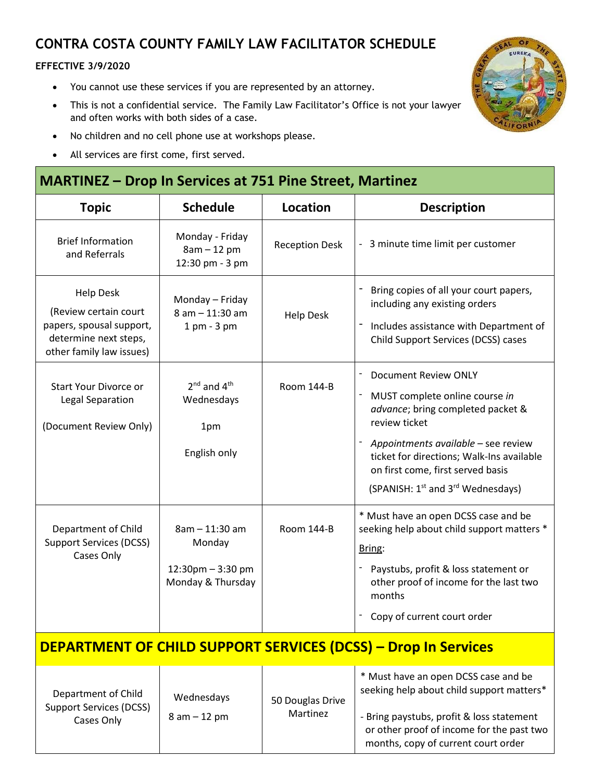# **CONTRA COSTA COUNTY FAMILY LAW FACILITATOR SCHEDULE**

#### **EFFECTIVE 3/9/2020**

- You cannot use these services if you are represented by an attorney.
- This is not a confidential service. The Family Law Facilitator's Office is not your lawyer and often works with both sides of a case.
- No children and no cell phone use at workshops please.
- All services are first come, first served.

### **MARTINEZ – Drop In Services at 751 Pine Street, Martinez**

| <b>Topic</b>                                                                                                               | <b>Schedule</b>                                                    | Location                     | <b>Description</b>                                                                                                                                                                                                                                                                                        |  |  |  |
|----------------------------------------------------------------------------------------------------------------------------|--------------------------------------------------------------------|------------------------------|-----------------------------------------------------------------------------------------------------------------------------------------------------------------------------------------------------------------------------------------------------------------------------------------------------------|--|--|--|
| <b>Brief Information</b><br>and Referrals                                                                                  | Monday - Friday<br>$8am - 12 pm$<br>12:30 pm - 3 pm                | <b>Reception Desk</b>        | - 3 minute time limit per customer                                                                                                                                                                                                                                                                        |  |  |  |
| <b>Help Desk</b><br>(Review certain court<br>papers, spousal support,<br>determine next steps,<br>other family law issues) | Monday - Friday<br>8 am - 11:30 am<br>$1$ pm - $3$ pm              | <b>Help Desk</b>             | Bring copies of all your court papers,<br>including any existing orders<br>Includes assistance with Department of<br>Child Support Services (DCSS) cases                                                                                                                                                  |  |  |  |
| <b>Start Your Divorce or</b><br>Legal Separation<br>(Document Review Only)                                                 | $2^{nd}$ and $4^{th}$<br>Wednesdays<br>1pm<br>English only         | <b>Room 144-B</b>            | <b>Document Review ONLY</b><br>MUST complete online course in<br>advance; bring completed packet &<br>review ticket<br>Appointments available - see review<br>ticket for directions; Walk-Ins available<br>on first come, first served basis<br>(SPANISH: 1 <sup>st</sup> and 3 <sup>rd</sup> Wednesdays) |  |  |  |
| Department of Child<br><b>Support Services (DCSS)</b><br>Cases Only                                                        | 8am - 11:30 am<br>Monday<br>12:30pm - 3:30 pm<br>Monday & Thursday | <b>Room 144-B</b>            | * Must have an open DCSS case and be<br>seeking help about child support matters *<br>Bring:<br>Paystubs, profit & loss statement or<br>other proof of income for the last two<br>months<br>Copy of current court order                                                                                   |  |  |  |
| <b>DEPARTMENT OF CHILD SUPPORT SERVICES (DCSS) - Drop In Services</b>                                                      |                                                                    |                              |                                                                                                                                                                                                                                                                                                           |  |  |  |
| Department of Child<br><b>Support Services (DCSS)</b><br>Cases Only                                                        | Wednesdays<br>$8 am - 12 pm$                                       | 50 Douglas Drive<br>Martinez | * Must have an open DCSS case and be<br>seeking help about child support matters*<br>- Bring paystubs, profit & loss statement<br>or other proof of income for the past two<br>months, copy of current court order                                                                                        |  |  |  |